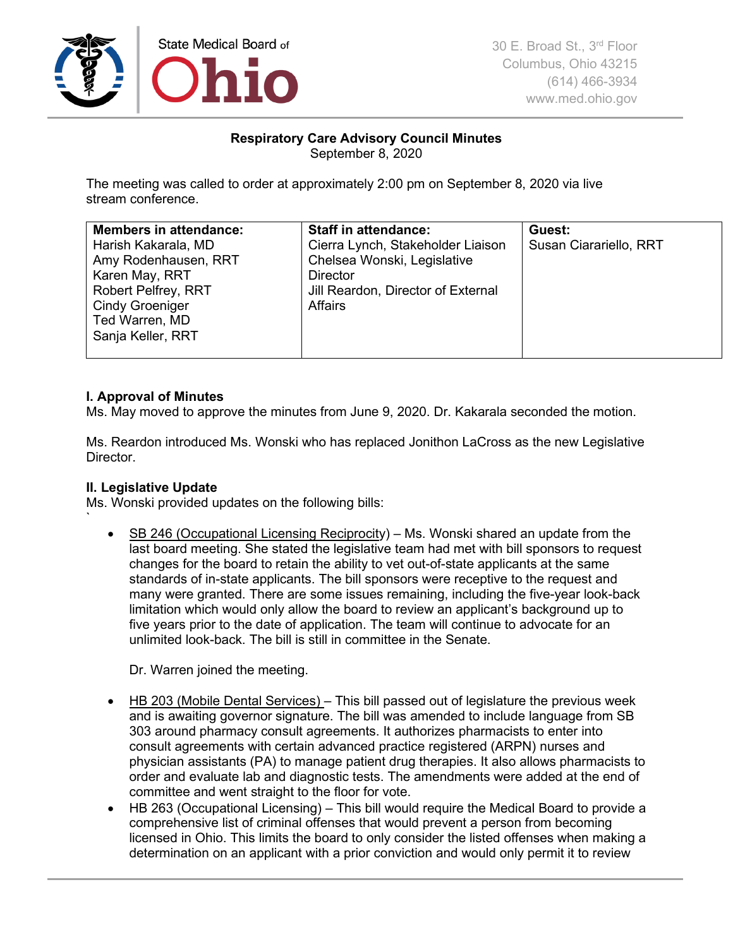

# **Respiratory Care Advisory Council Minutes** September 8, 2020

The meeting was called to order at approximately 2:00 pm on September 8, 2020 via live stream conference.

| <b>Members in attendance:</b><br>Harish Kakarala, MD<br>Amy Rodenhausen, RRT<br>Karen May, RRT<br><b>Robert Pelfrey, RRT</b><br><b>Cindy Groeniger</b><br>Ted Warren, MD<br>Sanja Keller, RRT | <b>Staff in attendance:</b><br>Cierra Lynch, Stakeholder Liaison<br>Chelsea Wonski, Legislative<br><b>Director</b><br>Jill Reardon, Director of External<br><b>Affairs</b> | Guest:<br>Susan Ciarariello, RRT |
|-----------------------------------------------------------------------------------------------------------------------------------------------------------------------------------------------|----------------------------------------------------------------------------------------------------------------------------------------------------------------------------|----------------------------------|
|-----------------------------------------------------------------------------------------------------------------------------------------------------------------------------------------------|----------------------------------------------------------------------------------------------------------------------------------------------------------------------------|----------------------------------|

## **I. Approval of Minutes**

Ms. May moved to approve the minutes from June 9, 2020. Dr. Kakarala seconded the motion.

Ms. Reardon introduced Ms. Wonski who has replaced Jonithon LaCross as the new Legislative Director.

## **II. Legislative Update**

`

Ms. Wonski provided updates on the following bills:

• SB 246 (Occupational Licensing Reciprocity) – Ms. Wonski shared an update from the last board meeting. She stated the legislative team had met with bill sponsors to request changes for the board to retain the ability to vet out-of-state applicants at the same standards of in-state applicants. The bill sponsors were receptive to the request and many were granted. There are some issues remaining, including the five-year look-back limitation which would only allow the board to review an applicant's background up to five years prior to the date of application. The team will continue to advocate for an unlimited look-back. The bill is still in committee in the Senate.

Dr. Warren joined the meeting.

- HB 203 (Mobile Dental Services) This bill passed out of legislature the previous week and is awaiting governor signature. The bill was amended to include language from SB 303 around pharmacy consult agreements. It authorizes pharmacists to enter into consult agreements with certain advanced practice registered (ARPN) nurses and physician assistants (PA) to manage patient drug therapies. It also allows pharmacists to order and evaluate lab and diagnostic tests. The amendments were added at the end of committee and went straight to the floor for vote.
- HB 263 (Occupational Licensing) This bill would require the Medical Board to provide a comprehensive list of criminal offenses that would prevent a person from becoming licensed in Ohio. This limits the board to only consider the listed offenses when making a determination on an applicant with a prior conviction and would only permit it to review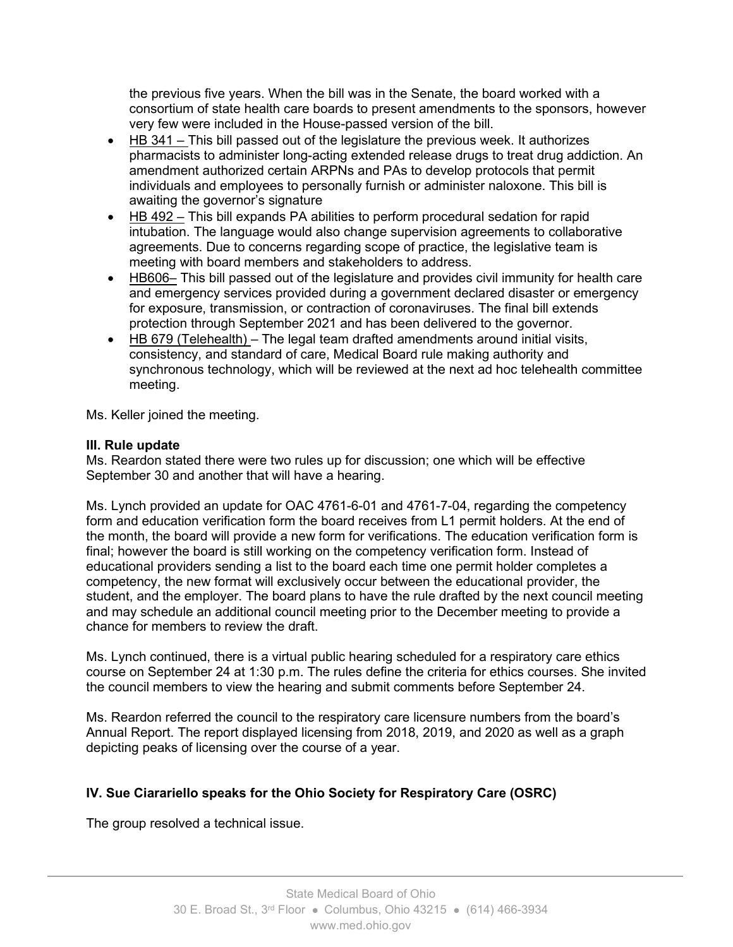the previous five years. When the bill was in the Senate, the board worked with a consortium of state health care boards to present amendments to the sponsors, however very few were included in the House-passed version of the bill.

- HB 341 This bill passed out of the legislature the previous week. It authorizes pharmacists to administer long-acting extended release drugs to treat drug addiction. An amendment authorized certain ARPNs and PAs to develop protocols that permit individuals and employees to personally furnish or administer naloxone. This bill is awaiting the governor's signature
- HB 492 This bill expands PA abilities to perform procedural sedation for rapid intubation. The language would also change supervision agreements to collaborative agreements. Due to concerns regarding scope of practice, the legislative team is meeting with board members and stakeholders to address.
- HB606– This bill passed out of the legislature and provides civil immunity for health care and emergency services provided during a government declared disaster or emergency for exposure, transmission, or contraction of coronaviruses. The final bill extends protection through September 2021 and has been delivered to the governor.
- HB 679 (Telehealth) The legal team drafted amendments around initial visits, consistency, and standard of care, Medical Board rule making authority and synchronous technology, which will be reviewed at the next ad hoc telehealth committee meeting.

Ms. Keller joined the meeting.

# **III. Rule update**

Ms. Reardon stated there were two rules up for discussion; one which will be effective September 30 and another that will have a hearing.

Ms. Lynch provided an update for OAC 4761-6-01 and 4761-7-04, regarding the competency form and education verification form the board receives from L1 permit holders. At the end of the month, the board will provide a new form for verifications. The education verification form is final; however the board is still working on the competency verification form. Instead of educational providers sending a list to the board each time one permit holder completes a competency, the new format will exclusively occur between the educational provider, the student, and the employer. The board plans to have the rule drafted by the next council meeting and may schedule an additional council meeting prior to the December meeting to provide a chance for members to review the draft.

Ms. Lynch continued, there is a virtual public hearing scheduled for a respiratory care ethics course on September 24 at 1:30 p.m. The rules define the criteria for ethics courses. She invited the council members to view the hearing and submit comments before September 24.

Ms. Reardon referred the council to the respiratory care licensure numbers from the board's Annual Report. The report displayed licensing from 2018, 2019, and 2020 as well as a graph depicting peaks of licensing over the course of a year.

# **IV. Sue Ciarariello speaks for the Ohio Society for Respiratory Care (OSRC)**

The group resolved a technical issue.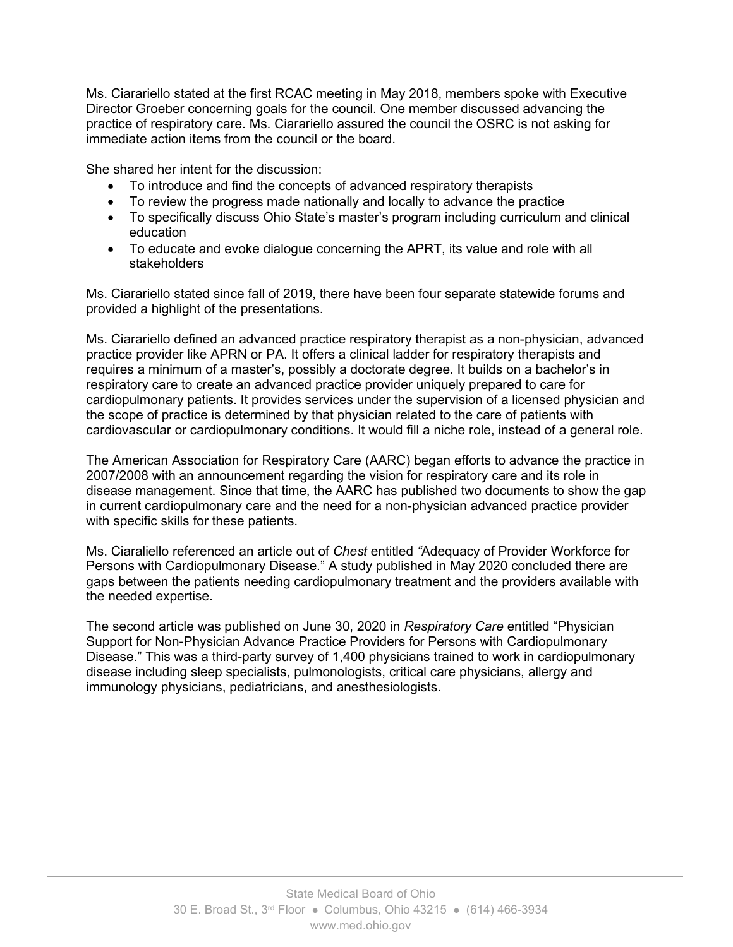Ms. Ciarariello stated at the first RCAC meeting in May 2018, members spoke with Executive Director Groeber concerning goals for the council. One member discussed advancing the practice of respiratory care. Ms. Ciarariello assured the council the OSRC is not asking for immediate action items from the council or the board.

She shared her intent for the discussion:

- To introduce and find the concepts of advanced respiratory therapists
- To review the progress made nationally and locally to advance the practice
- To specifically discuss Ohio State's master's program including curriculum and clinical education
- To educate and evoke dialogue concerning the APRT, its value and role with all stakeholders

Ms. Ciarariello stated since fall of 2019, there have been four separate statewide forums and provided a highlight of the presentations.

Ms. Ciarariello defined an advanced practice respiratory therapist as a non-physician, advanced practice provider like APRN or PA. It offers a clinical ladder for respiratory therapists and requires a minimum of a master's, possibly a doctorate degree. It builds on a bachelor's in respiratory care to create an advanced practice provider uniquely prepared to care for cardiopulmonary patients. It provides services under the supervision of a licensed physician and the scope of practice is determined by that physician related to the care of patients with cardiovascular or cardiopulmonary conditions. It would fill a niche role, instead of a general role.

The American Association for Respiratory Care (AARC) began efforts to advance the practice in 2007/2008 with an announcement regarding the vision for respiratory care and its role in disease management. Since that time, the AARC has published two documents to show the gap in current cardiopulmonary care and the need for a non-physician advanced practice provider with specific skills for these patients.

Ms. Ciaraliello referenced an article out of *Chest* entitled *"*Adequacy of Provider Workforce for Persons with Cardiopulmonary Disease." A study published in May 2020 concluded there are gaps between the patients needing cardiopulmonary treatment and the providers available with the needed expertise.

The second article was published on June 30, 2020 in *Respiratory Care* entitled "Physician Support for Non-Physician Advance Practice Providers for Persons with Cardiopulmonary Disease." This was a third-party survey of 1,400 physicians trained to work in cardiopulmonary disease including sleep specialists, pulmonologists, critical care physicians, allergy and immunology physicians, pediatricians, and anesthesiologists.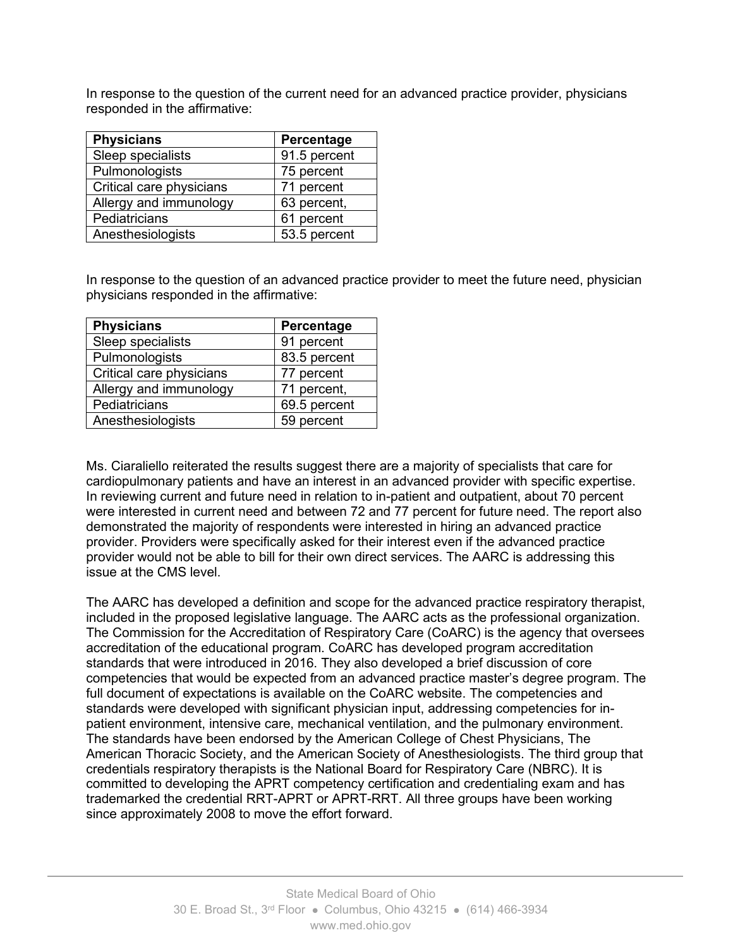In response to the question of the current need for an advanced practice provider, physicians responded in the affirmative:

| <b>Physicians</b>        | Percentage   |
|--------------------------|--------------|
| Sleep specialists        | 91.5 percent |
| Pulmonologists           | 75 percent   |
| Critical care physicians | 71 percent   |
| Allergy and immunology   | 63 percent,  |
| Pediatricians            | 61 percent   |
| Anesthesiologists        | 53.5 percent |

In response to the question of an advanced practice provider to meet the future need, physician physicians responded in the affirmative:

| <b>Physicians</b>        | Percentage   |
|--------------------------|--------------|
| Sleep specialists        | 91 percent   |
| Pulmonologists           | 83.5 percent |
| Critical care physicians | 77 percent   |
| Allergy and immunology   | 71 percent,  |
| Pediatricians            | 69.5 percent |
| Anesthesiologists        | 59 percent   |

Ms. Ciaraliello reiterated the results suggest there are a majority of specialists that care for cardiopulmonary patients and have an interest in an advanced provider with specific expertise. In reviewing current and future need in relation to in-patient and outpatient, about 70 percent were interested in current need and between 72 and 77 percent for future need. The report also demonstrated the majority of respondents were interested in hiring an advanced practice provider. Providers were specifically asked for their interest even if the advanced practice provider would not be able to bill for their own direct services. The AARC is addressing this issue at the CMS level.

The AARC has developed a definition and scope for the advanced practice respiratory therapist, included in the proposed legislative language. The AARC acts as the professional organization. The Commission for the Accreditation of Respiratory Care (CoARC) is the agency that oversees accreditation of the educational program. CoARC has developed program accreditation standards that were introduced in 2016. They also developed a brief discussion of core competencies that would be expected from an advanced practice master's degree program. The full document of expectations is available on the CoARC website. The competencies and standards were developed with significant physician input, addressing competencies for inpatient environment, intensive care, mechanical ventilation, and the pulmonary environment. The standards have been endorsed by the American College of Chest Physicians, The American Thoracic Society, and the American Society of Anesthesiologists. The third group that credentials respiratory therapists is the National Board for Respiratory Care (NBRC). It is committed to developing the APRT competency certification and credentialing exam and has trademarked the credential RRT-APRT or APRT-RRT. All three groups have been working since approximately 2008 to move the effort forward.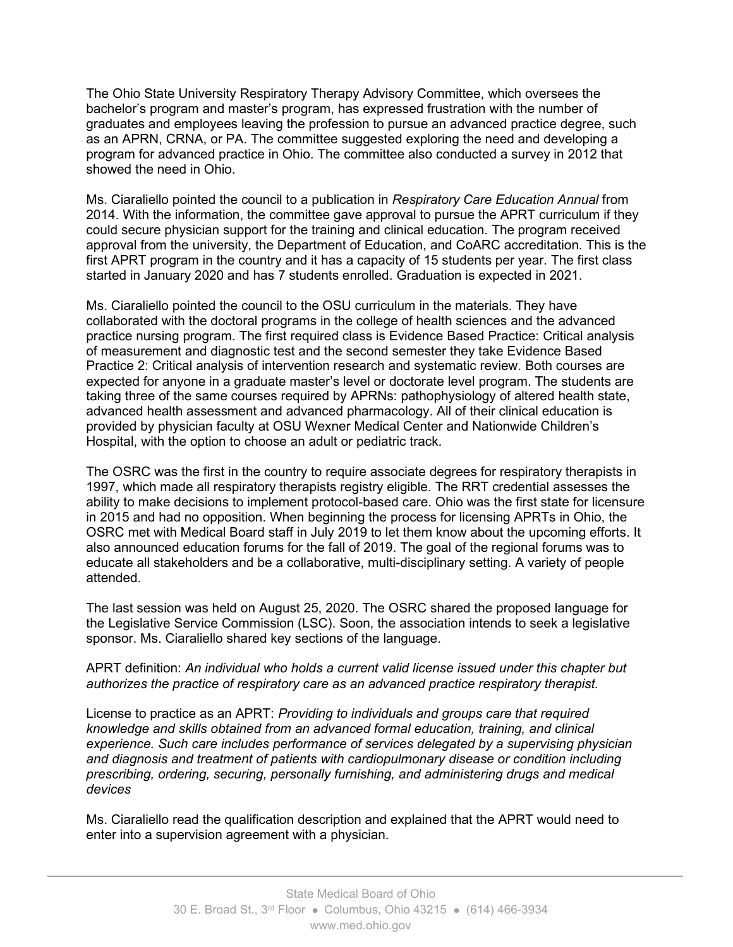The Ohio State University Respiratory Therapy Advisory Committee, which oversees the bachelor's program and master's program, has expressed frustration with the number of graduates and employees leaving the profession to pursue an advanced practice degree, such as an APRN, CRNA, or PA. The committee suggested exploring the need and developing a program for advanced practice in Ohio. The committee also conducted a survey in 2012 that showed the need in Ohio.

Ms. Ciaraliello pointed the council to a publication in *Respiratory Care Education Annual* from 2014. With the information, the committee gave approval to pursue the APRT curriculum if they could secure physician support for the training and clinical education. The program received approval from the university, the Department of Education, and CoARC accreditation. This is the first APRT program in the country and it has a capacity of 15 students per year. The first class started in January 2020 and has 7 students enrolled. Graduation is expected in 2021.

Ms. Ciaraliello pointed the council to the OSU curriculum in the materials. They have collaborated with the doctoral programs in the college of health sciences and the advanced practice nursing program. The first required class is Evidence Based Practice: Critical analysis of measurement and diagnostic test and the second semester they take Evidence Based Practice 2: Critical analysis of intervention research and systematic review. Both courses are expected for anyone in a graduate master's level or doctorate level program. The students are taking three of the same courses required by APRNs: pathophysiology of altered health state, advanced health assessment and advanced pharmacology. All of their clinical education is provided by physician faculty at OSU Wexner Medical Center and Nationwide Children's Hospital, with the option to choose an adult or pediatric track.

The OSRC was the first in the country to require associate degrees for respiratory therapists in 1997, which made all respiratory therapists registry eligible. The RRT credential assesses the ability to make decisions to implement protocol-based care. Ohio was the first state for licensure in 2015 and had no opposition. When beginning the process for licensing APRTs in Ohio, the OSRC met with Medical Board staff in July 2019 to let them know about the upcoming efforts. It also announced education forums for the fall of 2019. The goal of the regional forums was to educate all stakeholders and be a collaborative, multi-disciplinary setting. A variety of people attended.

The last session was held on August 25, 2020. The OSRC shared the proposed language for the Legislative Service Commission (LSC). Soon, the association intends to seek a legislative sponsor. Ms. Ciaraliello shared key sections of the language.

#### APRT definition: *An individual who holds a current valid license issued under this chapter but authorizes the practice of respiratory care as an advanced practice respiratory therapist.*

License to practice as an APRT: *Providing to individuals and groups care that required knowledge and skills obtained from an advanced formal education, training, and clinical experience. Such care includes performance of services delegated by a supervising physician and diagnosis and treatment of patients with cardiopulmonary disease or condition including prescribing, ordering, securing, personally furnishing, and administering drugs and medical devices*

Ms. Ciaraliello read the qualification description and explained that the APRT would need to enter into a supervision agreement with a physician.